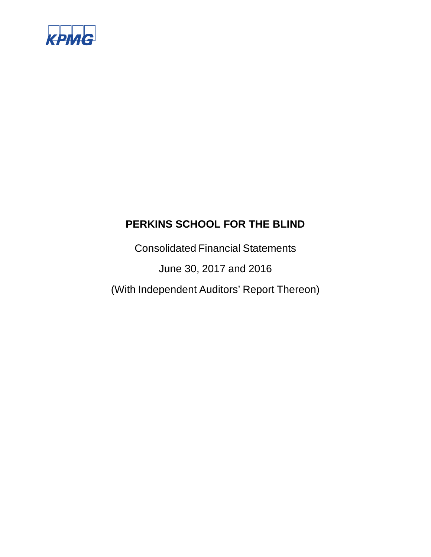

Consolidated Financial Statements June 30, 2017 and 2016 (With Independent Auditors' Report Thereon)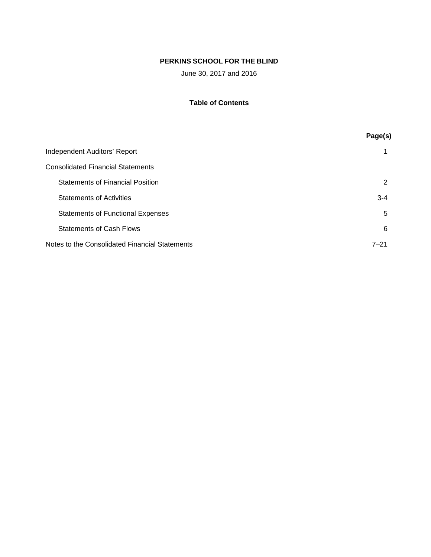June 30, 2017 and 2016

# **Table of Contents**

|                                                | Page(s)  |
|------------------------------------------------|----------|
| Independent Auditors' Report                   |          |
| <b>Consolidated Financial Statements</b>       |          |
| <b>Statements of Financial Position</b>        | 2        |
| <b>Statements of Activities</b>                | $3 - 4$  |
| <b>Statements of Functional Expenses</b>       | 5        |
| <b>Statements of Cash Flows</b>                | 6        |
| Notes to the Consolidated Financial Statements | $7 - 21$ |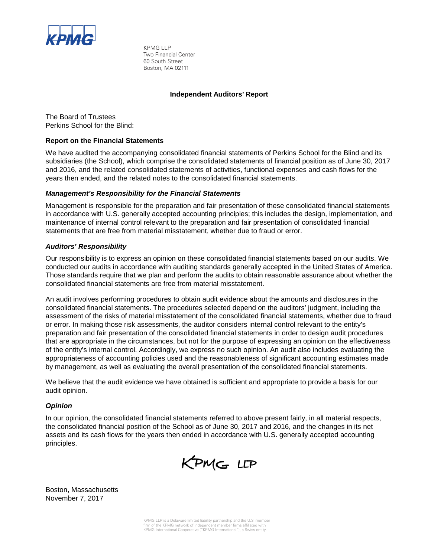

KPMG LLP Two Financial Center 60 South Street Boston, MA 02111

## **Independent Auditors' Report**

The Board of Trustees Perkins School for the Blind:

# **Report on the Financial Statements**

We have audited the accompanying consolidated financial statements of Perkins School for the Blind and its subsidiaries (the School), which comprise the consolidated statements of financial position as of June 30, 2017 and 2016, and the related consolidated statements of activities, functional expenses and cash flows for the years then ended, and the related notes to the consolidated financial statements.

# *Management's Responsibility for the Financial Statements*

Management is responsible for the preparation and fair presentation of these consolidated financial statements in accordance with U.S. generally accepted accounting principles; this includes the design, implementation, and maintenance of internal control relevant to the preparation and fair presentation of consolidated financial statements that are free from material misstatement, whether due to fraud or error.

# *Auditors' Responsibility*

Our responsibility is to express an opinion on these consolidated financial statements based on our audits. We conducted our audits in accordance with auditing standards generally accepted in the United States of America. Those standards require that we plan and perform the audits to obtain reasonable assurance about whether the consolidated financial statements are free from material misstatement.

An audit involves performing procedures to obtain audit evidence about the amounts and disclosures in the consolidated financial statements. The procedures selected depend on the auditors' judgment, including the assessment of the risks of material misstatement of the consolidated financial statements, whether due to fraud or error. In making those risk assessments, the auditor considers internal control relevant to the entity's preparation and fair presentation of the consolidated financial statements in order to design audit procedures that are appropriate in the circumstances, but not for the purpose of expressing an opinion on the effectiveness of the entity's internal control. Accordingly, we express no such opinion. An audit also includes evaluating the appropriateness of accounting policies used and the reasonableness of significant accounting estimates made by management, as well as evaluating the overall presentation of the consolidated financial statements.

We believe that the audit evidence we have obtained is sufficient and appropriate to provide a basis for our audit opinion.

#### *Opinion*

In our opinion, the consolidated financial statements referred to above present fairly, in all material respects, the consolidated financial position of the School as of June 30, 2017 and 2016, and the changes in its net assets and its cash flows for the years then ended in accordance with U.S. generally accepted accounting principles.



Boston, Massachusetts November 7, 2017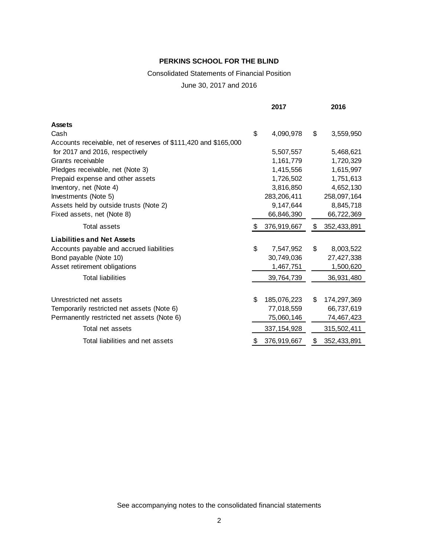# Consolidated Statements of Financial Position

June 30, 2017 and 2016

|                                                                 |    | 2017          | 2016              |
|-----------------------------------------------------------------|----|---------------|-------------------|
| <b>Assets</b>                                                   |    |               |                   |
| Cash                                                            | \$ | 4,090,978     | \$<br>3,559,950   |
| Accounts receivable, net of reserves of \$111,420 and \$165,000 |    |               |                   |
| for 2017 and 2016, respectively                                 |    | 5,507,557     | 5,468,621         |
| Grants receivable                                               |    | 1,161,779     | 1,720,329         |
| Pledges receivable, net (Note 3)                                |    | 1,415,556     | 1,615,997         |
| Prepaid expense and other assets                                |    | 1,726,502     | 1,751,613         |
| Inventory, net (Note 4)                                         |    | 3,816,850     | 4,652,130         |
| Investments (Note 5)                                            |    | 283,206,411   | 258,097,164       |
| Assets held by outside trusts (Note 2)                          |    | 9,147,644     | 8,845,718         |
| Fixed assets, net (Note 8)                                      |    | 66,846,390    | 66,722,369        |
| Total assets                                                    |    | 376,919,667   | \$<br>352,433,891 |
| <b>Liabilities and Net Assets</b>                               |    |               |                   |
| Accounts payable and accrued liabilities                        | \$ | 7,547,952     | \$<br>8,003,522   |
| Bond payable (Note 10)                                          |    | 30,749,036    | 27,427,338        |
| Asset retirement obligations                                    |    | 1,467,751     | 1,500,620         |
| <b>Total liabilities</b>                                        |    | 39,764,739    | 36,931,480        |
|                                                                 |    |               |                   |
| Unrestricted net assets                                         | \$ | 185,076,223   | \$<br>174,297,369 |
| Temporarily restricted net assets (Note 6)                      |    | 77,018,559    | 66,737,619        |
| Permanently restricted net assets (Note 6)                      |    | 75,060,146    | 74,467,423        |
| Total net assets                                                |    | 337, 154, 928 | 315,502,411       |
| Total liabilities and net assets                                | S  | 376,919,667   | \$<br>352,433,891 |
|                                                                 |    |               |                   |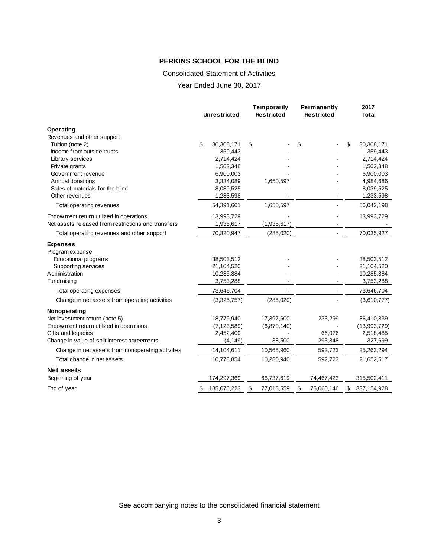#### Consolidated Statement of Activities

Year Ended June 30, 2017

|                                                     | <b>Unrestricted</b> | <b>Temporarily</b><br><b>Restricted</b> |             | Permanently<br><b>Restricted</b> |            | 2017<br><b>Total</b> |
|-----------------------------------------------------|---------------------|-----------------------------------------|-------------|----------------------------------|------------|----------------------|
| Operating                                           |                     |                                         |             |                                  |            |                      |
| Revenues and other support                          |                     |                                         |             |                                  |            |                      |
| Tuition (note 2)                                    | \$<br>30,308,171    | \$                                      |             | \$                               |            | \$<br>30,308,171     |
| Income from outside trusts                          | 359,443             |                                         |             |                                  |            | 359,443              |
| Library services                                    | 2,714,424           |                                         |             |                                  |            | 2,714,424            |
| Private grants                                      | 1,502,348           |                                         |             |                                  |            | 1,502,348            |
| Government revenue                                  | 6,900,003           |                                         |             |                                  |            | 6,900,003            |
| Annual donations                                    | 3,334,089           |                                         | 1,650,597   |                                  |            | 4,984,686            |
| Sales of materials for the blind<br>Other revenues  | 8,039,525           |                                         |             |                                  |            | 8,039,525            |
|                                                     | 1,233,598           |                                         |             |                                  |            | 1,233,598            |
| Total operating revenues                            | 54,391,601          |                                         | 1,650,597   |                                  |            | 56,042,198           |
| Endow ment return utilized in operations            | 13,993,729          |                                         |             |                                  |            | 13,993,729           |
| Net assets released from restrictions and transfers | 1,935,617           |                                         | (1,935,617) |                                  |            |                      |
| Total operating revenues and other support          | 70,320,947          |                                         | (285, 020)  |                                  |            | 70,035,927           |
| <b>Expenses</b>                                     |                     |                                         |             |                                  |            |                      |
| Program expense                                     |                     |                                         |             |                                  |            |                      |
| Educational programs                                | 38,503,512          |                                         |             |                                  |            | 38,503,512           |
| Supporting services                                 | 21,104,520          |                                         |             |                                  |            | 21,104,520           |
| Administration                                      | 10,285,384          |                                         |             |                                  |            | 10,285,384           |
| Fundraising                                         | 3,753,288           |                                         |             |                                  |            | 3,753,288            |
| Total operating expenses                            | 73,646,704          |                                         |             |                                  |            | 73,646,704           |
| Change in net assets from operating activities      | (3,325,757)         |                                         | (285, 020)  |                                  |            | (3,610,777)          |
| Nonoperating                                        |                     |                                         |             |                                  |            |                      |
| Net investment return (note 5)                      | 18,779,940          |                                         | 17,397,600  |                                  | 233,299    | 36,410,839           |
| Endow ment return utilized in operations            | (7, 123, 589)       |                                         | (6,870,140) |                                  |            | (13,993,729)         |
| Gifts and legacies                                  | 2,452,409           |                                         |             |                                  | 66,076     | 2,518,485            |
| Change in value of split interest agreements        | (4, 149)            |                                         | 38,500      |                                  | 293,348    | 327,699              |
| Change in net assets from nonoperating activities   | 14,104,611          |                                         | 10,565,960  |                                  | 592,723    | 25,263,294           |
| Total change in net assets                          | 10,778,854          |                                         | 10,280,940  |                                  | 592,723    | 21,652,517           |
| <b>Net assets</b>                                   |                     |                                         |             |                                  |            |                      |
| Beginning of year                                   | 174,297,369         |                                         | 66,737,619  |                                  | 74,467,423 | 315,502,411          |
| End of year                                         | \$<br>185,076,223   | \$                                      | 77,018,559  | \$                               | 75,060,146 | \$<br>337, 154, 928  |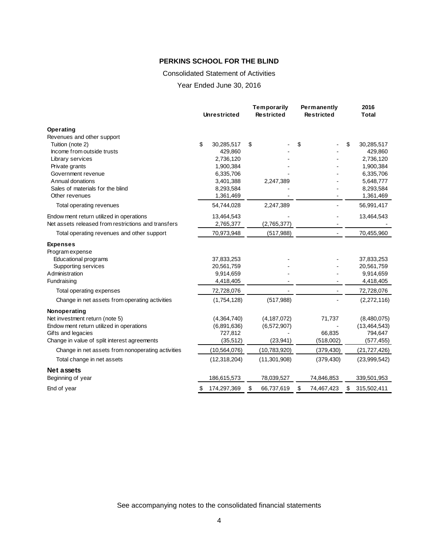#### Consolidated Statement of Activities

Year Ended June 30, 2016

|                                                     | <b>Unrestricted</b> | Temporarily<br><b>Restricted</b> |                | Permanently<br><b>Restricted</b> |            | 2016<br>Total     |
|-----------------------------------------------------|---------------------|----------------------------------|----------------|----------------------------------|------------|-------------------|
| Operating                                           |                     |                                  |                |                                  |            |                   |
| Revenues and other support                          |                     |                                  |                |                                  |            |                   |
| Tuition (note 2)                                    | \$<br>30,285,517    | \$                               |                | \$                               |            | \$<br>30,285,517  |
| Income from outside trusts                          | 429,860             |                                  |                |                                  |            | 429,860           |
| Library services                                    | 2,736,120           |                                  |                |                                  |            | 2,736,120         |
| Private grants                                      | 1,900,384           |                                  |                |                                  |            | 1,900,384         |
| Government revenue                                  | 6,335,706           |                                  |                |                                  |            | 6,335,706         |
| Annual donations                                    | 3,401,388           |                                  | 2,247,389      |                                  |            | 5,648,777         |
| Sales of materials for the blind                    | 8,293,584           |                                  |                |                                  |            | 8,293,584         |
| Other revenues                                      | 1,361,469           |                                  |                |                                  |            | 1,361,469         |
| Total operating revenues                            | 54,744,028          |                                  | 2,247,389      |                                  |            | 56,991,417        |
| Endow ment return utilized in operations            | 13,464,543          |                                  |                |                                  |            | 13,464,543        |
| Net assets released from restrictions and transfers | 2,765,377           |                                  | (2,765,377)    |                                  |            |                   |
| Total operating revenues and other support          | 70,973,948          |                                  | (517, 988)     |                                  |            | 70,455,960        |
| <b>Expenses</b>                                     |                     |                                  |                |                                  |            |                   |
| Program expense                                     |                     |                                  |                |                                  |            |                   |
| Educational programs                                | 37,833,253          |                                  |                |                                  |            | 37,833,253        |
| Supporting services                                 | 20,561,759          |                                  |                |                                  |            | 20,561,759        |
| Administration                                      | 9,914,659           |                                  |                |                                  |            | 9,914,659         |
| Fundraising                                         | 4,418,405           |                                  |                |                                  |            | 4,418,405         |
| Total operating expenses                            | 72,728,076          |                                  |                |                                  |            | 72,728,076        |
| Change in net assets from operating activities      | (1,754,128)         |                                  | (517,988)      |                                  |            | (2,272,116)       |
| Nonoperating                                        |                     |                                  |                |                                  |            |                   |
| Net investment return (note 5)                      | (4,364,740)         |                                  | (4, 187, 072)  |                                  | 71,737     | (8,480,075)       |
| Endow ment return utilized in operations            | (6,891,636)         |                                  | (6,572,907)    |                                  |            | (13, 464, 543)    |
| Gifts and legacies                                  | 727,812             |                                  |                |                                  | 66,835     | 794,647           |
| Change in value of split interest agreements        | (35, 512)           |                                  | (23, 941)      |                                  | (518,002)  | (577, 455)        |
| Change in net assets from nonoperating activities   | (10, 564, 076)      |                                  | (10,783,920)   |                                  | (379, 430) | (21, 727, 426)    |
| Total change in net assets                          | (12, 318, 204)      |                                  | (11, 301, 908) |                                  | (379, 430) | (23,999,542)      |
| Net assets                                          |                     |                                  |                |                                  |            |                   |
| Beginning of year                                   | 186,615,573         |                                  | 78,039,527     |                                  | 74,846,853 | 339,501,953       |
| End of year                                         | \$<br>174,297,369   | \$                               | 66,737,619     | \$                               | 74,467,423 | \$<br>315,502,411 |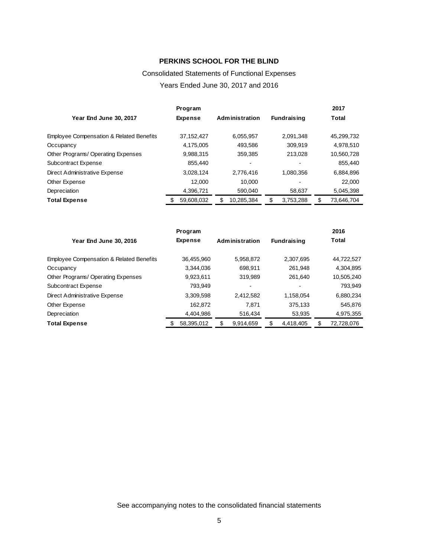# Consolidated Statements of Functional Expenses Years Ended June 30, 2017 and 2016

|                                          | Program        |                       |                    | 2017             |
|------------------------------------------|----------------|-----------------------|--------------------|------------------|
| Year End June 30, 2017                   | <b>Expense</b> | <b>Administration</b> | <b>Fundraising</b> | Total            |
| Employee Compensation & Related Benefits | 37, 152, 427   | 6,055,957             | 2,091,348          | 45,299,732       |
| Occupancy                                | 4,175,005      | 493,586               | 309.919            | 4,978,510        |
| Other Programs/Operating Expenses        | 9,988,315      | 359,385               | 213,028            | 10,560,728       |
| Subcontract Expense                      | 855,440        |                       |                    | 855,440          |
| Direct Administrative Expense            | 3,028,124      | 2,776,416             | 1,080,356          | 6,884,896        |
| Other Expense                            | 12.000         | 10.000                |                    | 22,000           |
| Depreciation                             | 4,396,721      | 590,040               | 58,637             | 5,045,398        |
| <b>Total Expense</b>                     | 59,608,032     | 10,285,384            | 3,753,288          | \$<br>73,646,704 |

|                                          | Program        |           |                       |                    | 2016             |
|------------------------------------------|----------------|-----------|-----------------------|--------------------|------------------|
| Year End June 30, 2016                   | <b>Expense</b> |           | <b>Administration</b> | <b>Fundraising</b> | Total            |
| Employee Compensation & Related Benefits | 36.455.960     |           | 5,958,872             | 2.307.695          | 44,722,527       |
| Occupancy                                |                | 3,344,036 | 698.911               | 261.948            | 4,304,895        |
| Other Programs/Operating Expenses        |                | 9,923,611 | 319.989               | 261.640            | 10,505,240       |
| Subcontract Expense                      |                | 793.949   | -                     |                    | 793,949          |
| Direct Administrative Expense            |                | 3,309,598 | 2,412,582             | 1,158,054          | 6,880,234        |
| Other Expense                            |                | 162.872   | 7.871                 | 375,133            | 545.876          |
| Depreciation                             |                | 4,404,986 | 516,434               | 53,935             | 4,975,355        |
| <b>Total Expense</b>                     | 58,395,012     |           | 9,914,659             | 4,418,405          | \$<br>72,728,076 |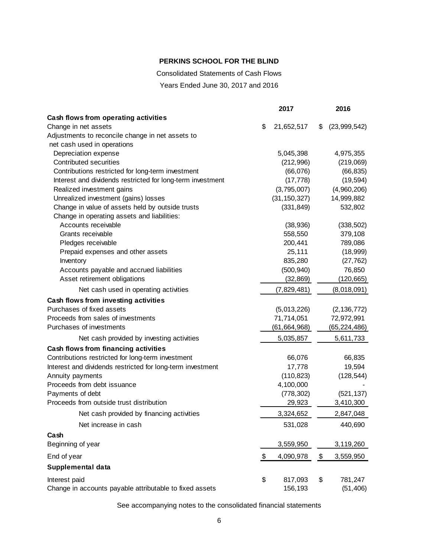Consolidated Statements of Cash Flows

Years Ended June 30, 2017 and 2016

|                                                            | 2017             | 2016               |
|------------------------------------------------------------|------------------|--------------------|
| Cash flows from operating activities                       |                  |                    |
| Change in net assets                                       | \$<br>21,652,517 | \$<br>(23,999,542) |
| Adjustments to reconcile change in net assets to           |                  |                    |
| net cash used in operations                                |                  |                    |
| Depreciation expense                                       | 5,045,398        | 4,975,355          |
| Contributed securities                                     | (212,996)        | (219,069)          |
| Contributions restricted for long-term investment          | (66,076)         | (66, 835)          |
| Interest and dividends restricted for long-term investment | (17, 778)        | (19, 594)          |
| Realized investment gains                                  | (3,795,007)      | (4,960,206)        |
| Unrealized investment (gains) losses                       | (31, 150, 327)   | 14,999,882         |
| Change in value of assets held by outside trusts           | (331, 849)       | 532,802            |
| Change in operating assets and liabilities:                |                  |                    |
| Accounts receivable                                        | (38, 936)        | (338, 502)         |
| Grants receivable                                          | 558,550          | 379,108            |
| Pledges receivable                                         | 200,441          | 789,086            |
| Prepaid expenses and other assets                          | 25,111           | (18,999)           |
| Inventory                                                  | 835,280          | (27, 762)          |
| Accounts payable and accrued liabilities                   | (500, 940)       | 76,850             |
| Asset retirement obligations                               | (32, 869)        | (120, 665)         |
| Net cash used in operating activities                      | (7,829,481)      | (8,018,091)        |
| Cash flows from investing activities                       |                  |                    |
| Purchases of fixed assets                                  | (5,013,226)      | (2, 136, 772)      |
| Proceeds from sales of investments                         | 71,714,051       | 72,972,991         |
| Purchases of investments                                   | (61, 664, 968)   | (65, 224, 486)     |
| Net cash provided by investing activities                  | 5,035,857        | 5,611,733          |
| Cash flows from financing activities                       |                  |                    |
| Contributions restricted for long-term investment          | 66,076           | 66,835             |
| Interest and dividends restricted for long-term investment | 17,778           | 19,594             |
| Annuity payments                                           | (110, 823)       | (128, 544)         |
| Proceeds from debt issuance                                | 4,100,000        |                    |
| Payments of debt                                           | (778, 302)       | (521, 137)         |
| Proceeds from outside trust distribution                   | 29,923           | 3,410,300          |
| Net cash provided by financing activities                  | 3,324,652        | 2,847,048          |
| Net increase in cash                                       | 531,028          | 440,690            |
| Cash                                                       |                  |                    |
| Beginning of year                                          | 3,559,950        | 3,119,260          |
| End of year                                                | \$<br>4,090,978  | \$<br>3,559,950    |
| Supplemental data                                          |                  |                    |
| Interest paid                                              | \$<br>817,093    | \$<br>781,247      |
| Change in accounts payable attributable to fixed assets    | 156,193          | (51, 406)          |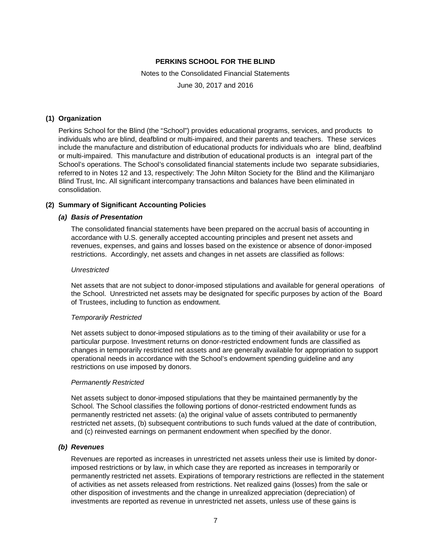Notes to the Consolidated Financial Statements

June 30, 2017 and 2016

#### **(1) Organization**

Perkins School for the Blind (the "School") provides educational programs, services, and products to individuals who are blind, deafblind or multi-impaired, and their parents and teachers. These services include the manufacture and distribution of educational products for individuals who are blind, deafblind or multi-impaired. This manufacture and distribution of educational products is an integral part of the School's operations. The School's consolidated financial statements include two separate subsidiaries, referred to in Notes 12 and 13, respectively: The John Milton Society for the Blind and the Kilimanjaro Blind Trust, Inc. All significant intercompany transactions and balances have been eliminated in consolidation.

## **(2) Summary of Significant Accounting Policies**

#### *(a) Basis of Presentation*

The consolidated financial statements have been prepared on the accrual basis of accounting in accordance with U.S. generally accepted accounting principles and present net assets and revenues, expenses, and gains and losses based on the existence or absence of donor-imposed restrictions. Accordingly, net assets and changes in net assets are classified as follows:

#### *Unrestricted*

Net assets that are not subject to donor-imposed stipulations and available for general operations of the School. Unrestricted net assets may be designated for specific purposes by action of the Board of Trustees, including to function as endowment.

#### *Temporarily Restricted*

Net assets subject to donor-imposed stipulations as to the timing of their availability or use for a particular purpose. Investment returns on donor-restricted endowment funds are classified as changes in temporarily restricted net assets and are generally available for appropriation to support operational needs in accordance with the School's endowment spending guideline and any restrictions on use imposed by donors.

#### *Permanently Restricted*

Net assets subject to donor-imposed stipulations that they be maintained permanently by the School. The School classifies the following portions of donor-restricted endowment funds as permanently restricted net assets: (a) the original value of assets contributed to permanently restricted net assets, (b) subsequent contributions to such funds valued at the date of contribution, and (c) reinvested earnings on permanent endowment when specified by the donor.

#### *(b) Revenues*

Revenues are reported as increases in unrestricted net assets unless their use is limited by donorimposed restrictions or by law, in which case they are reported as increases in temporarily or permanently restricted net assets. Expirations of temporary restrictions are reflected in the statement of activities as net assets released from restrictions. Net realized gains (losses) from the sale or other disposition of investments and the change in unrealized appreciation (depreciation) of investments are reported as revenue in unrestricted net assets, unless use of these gains is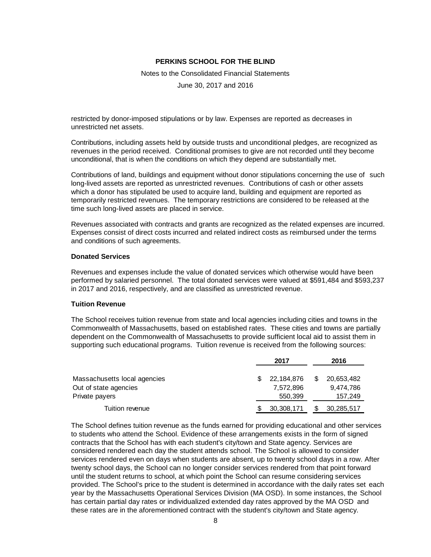Notes to the Consolidated Financial Statements

June 30, 2017 and 2016

restricted by donor-imposed stipulations or by law. Expenses are reported as decreases in unrestricted net assets.

Contributions, including assets held by outside trusts and unconditional pledges, are recognized as revenues in the period received. Conditional promises to give are not recorded until they become unconditional, that is when the conditions on which they depend are substantially met.

Contributions of land, buildings and equipment without donor stipulations concerning the use of such long-lived assets are reported as unrestricted revenues. Contributions of cash or other assets which a donor has stipulated be used to acquire land, building and equipment are reported as temporarily restricted revenues. The temporary restrictions are considered to be released at the time such long-lived assets are placed in service.

Revenues associated with contracts and grants are recognized as the related expenses are incurred. Expenses consist of direct costs incurred and related indirect costs as reimbursed under the terms and conditions of such agreements.

#### **Donated Services**

Revenues and expenses include the value of donated services which otherwise would have been performed by salaried personnel. The total donated services were valued at \$591,484 and \$593,237 in 2017 and 2016, respectively, and are classified as unrestricted revenue.

#### **Tuition Revenue**

The School receives tuition revenue from state and local agencies including cities and towns in the Commonwealth of Massachusetts, based on established rates. These cities and towns are partially dependent on the Commonwealth of Massachusetts to provide sufficient local aid to assist them in supporting such educational programs. Tuition revenue is received from the following sources:

|                              | 2017 |            | 2016       |
|------------------------------|------|------------|------------|
| Massachusetts local agencies |      | 22.184.876 | 20,653,482 |
| Out of state agencies        |      | 7.572.896  | 9,474,786  |
| Private payers               |      | 550,399    | 157,249    |
| Tuition revenue              |      | 30,308,171 | 30,285,517 |

The School defines tuition revenue as the funds earned for providing educational and other services to students who attend the School. Evidence of these arrangements exists in the form of signed contracts that the School has with each student's city/town and State agency. Services are considered rendered each day the student attends school. The School is allowed to consider services rendered even on days when students are absent, up to twenty school days in a row. After twenty school days, the School can no longer consider services rendered from that point forward until the student returns to school, at which point the School can resume considering services provided. The School's price to the student is determined in accordance with the daily rates set each year by the Massachusetts Operational Services Division (MA OSD). In some instances, the School has certain partial day rates or individualized extended day rates approved by the MA OSD and these rates are in the aforementioned contract with the student's city/town and State agency.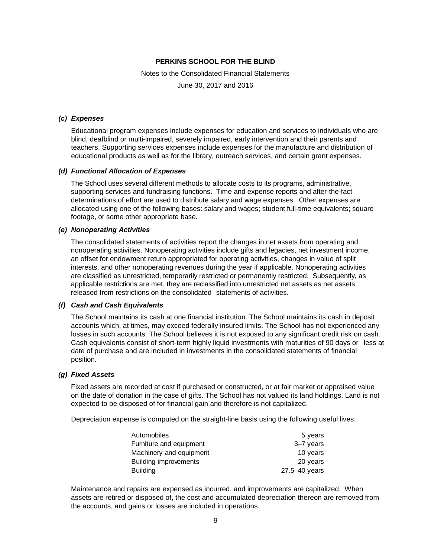Notes to the Consolidated Financial Statements

June 30, 2017 and 2016

#### *(c) Expenses*

Educational program expenses include expenses for education and services to individuals who are blind, deafblind or multi-impaired, severely impaired, early intervention and their parents and teachers. Supporting services expenses include expenses for the manufacture and distribution of educational products as well as for the library, outreach services, and certain grant expenses.

#### *(d) Functional Allocation of Expenses*

The School uses several different methods to allocate costs to its programs, administrative, supporting services and fundraising functions. Time and expense reports and after-the-fact determinations of effort are used to distribute salary and wage expenses. Other expenses are allocated using one of the following bases: salary and wages; student full-time equivalents; square footage, or some other appropriate base.

#### *(e) Nonoperating Activities*

The consolidated statements of activities report the changes in net assets from operating and nonoperating activities. Nonoperating activities include gifts and legacies, net investment income, an offset for endowment return appropriated for operating activities, changes in value of split interests, and other nonoperating revenues during the year if applicable. Nonoperating activities are classified as unrestricted, temporarily restricted or permanently restricted. Subsequently, as applicable restrictions are met, they are reclassified into unrestricted net assets as net assets released from restrictions on the consolidated statements of activities.

#### *(f) Cash and Cash Equivalents*

The School maintains its cash at one financial institution. The School maintains its cash in deposit accounts which, at times, may exceed federally insured limits. The School has not experienced any losses in such accounts. The School believes it is not exposed to any significant credit risk on cash. Cash equivalents consist of short-term highly liquid investments with maturities of 90 days or less at date of purchase and are included in investments in the consolidated statements of financial position.

#### *(g) Fixed Assets*

Fixed assets are recorded at cost if purchased or constructed, or at fair market or appraised value on the date of donation in the case of gifts. The School has not valued its land holdings. Land is not expected to be disposed of for financial gain and therefore is not capitalized.

Depreciation expense is computed on the straight-line basis using the following useful lives:

| Automobiles                  | 5 years       |
|------------------------------|---------------|
| Furniture and equipment      | 3–7 years     |
| Machinery and equipment      | 10 years      |
| <b>Building improvements</b> | 20 years      |
| <b>Building</b>              | 27.5–40 years |

Maintenance and repairs are expensed as incurred, and improvements are capitalized. When assets are retired or disposed of, the cost and accumulated depreciation thereon are removed from the accounts, and gains or losses are included in operations.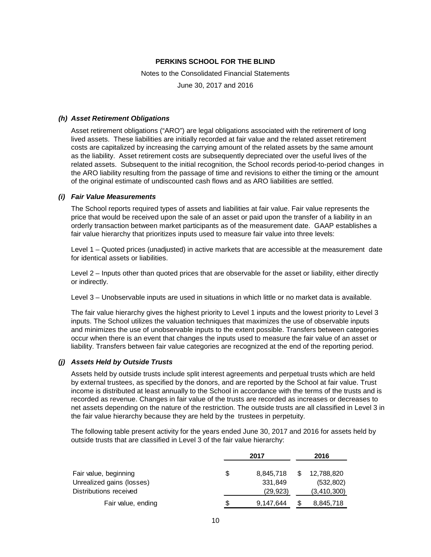Notes to the Consolidated Financial Statements

June 30, 2017 and 2016

#### *(h) Asset Retirement Obligations*

Asset retirement obligations ("ARO") are legal obligations associated with the retirement of long lived assets. These liabilities are initially recorded at fair value and the related asset retirement costs are capitalized by increasing the carrying amount of the related assets by the same amount as the liability. Asset retirement costs are subsequently depreciated over the useful lives of the related assets. Subsequent to the initial recognition, the School records period-to-period changes in the ARO liability resulting from the passage of time and revisions to either the timing or the amount of the original estimate of undiscounted cash flows and as ARO liabilities are settled.

#### *(i) Fair Value Measurements*

The School reports required types of assets and liabilities at fair value. Fair value represents the price that would be received upon the sale of an asset or paid upon the transfer of a liability in an orderly transaction between market participants as of the measurement date. GAAP establishes a fair value hierarchy that prioritizes inputs used to measure fair value into three levels:

Level 1 – Quoted prices (unadjusted) in active markets that are accessible at the measurement date for identical assets or liabilities.

Level 2 – Inputs other than quoted prices that are observable for the asset or liability, either directly or indirectly.

Level 3 – Unobservable inputs are used in situations in which little or no market data is available.

The fair value hierarchy gives the highest priority to Level 1 inputs and the lowest priority to Level 3 inputs. The School utilizes the valuation techniques that maximizes the use of observable inputs and minimizes the use of unobservable inputs to the extent possible. Transfers between categories occur when there is an event that changes the inputs used to measure the fair value of an asset or liability. Transfers between fair value categories are recognized at the end of the reporting period.

#### *(j) Assets Held by Outside Trusts*

Assets held by outside trusts include split interest agreements and perpetual trusts which are held by external trustees, as specified by the donors, and are reported by the School at fair value. Trust income is distributed at least annually to the School in accordance with the terms of the trusts and is recorded as revenue. Changes in fair value of the trusts are recorded as increases or decreases to net assets depending on the nature of the restriction. The outside trusts are all classified in Level 3 in the fair value hierarchy because they are held by the trustees in perpetuity.

The following table present activity for the years ended June 30, 2017 and 2016 for assets held by outside trusts that are classified in Level 3 of the fair value hierarchy:

|                           |     | 2017      |  | 2016        |
|---------------------------|-----|-----------|--|-------------|
| Fair value, beginning     | \$  | 8,845,718 |  | 12,788,820  |
| Unrealized gains (losses) |     | 331,849   |  | (532, 802)  |
| Distributions received    |     | (29, 923) |  | (3,410,300) |
| Fair value, ending        | \$. | 9,147,644 |  | 8,845,718   |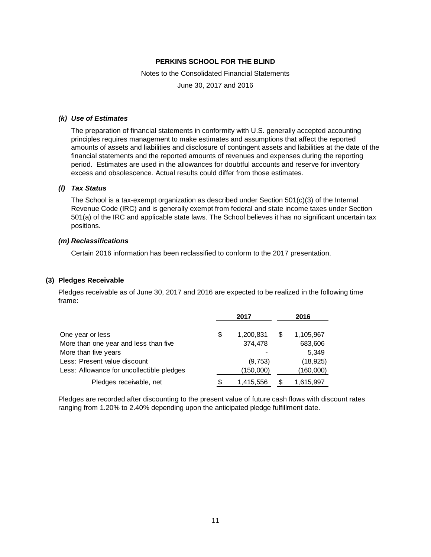Notes to the Consolidated Financial Statements

June 30, 2017 and 2016

#### *(k) Use of Estimates*

The preparation of financial statements in conformity with U.S. generally accepted accounting principles requires management to make estimates and assumptions that affect the reported amounts of assets and liabilities and disclosure of contingent assets and liabilities at the date of the financial statements and the reported amounts of revenues and expenses during the reporting period. Estimates are used in the allowances for doubtful accounts and reserve for inventory excess and obsolescence. Actual results could differ from those estimates.

# *(l) Tax Status*

The School is a tax-exempt organization as described under Section 501(c)(3) of the Internal Revenue Code (IRC) and is generally exempt from federal and state income taxes under Section 501(a) of the IRC and applicable state laws. The School believes it has no significant uncertain tax positions.

#### *(m) Reclassifications*

Certain 2016 information has been reclassified to conform to the 2017 presentation.

#### **(3) Pledges Receivable**

Pledges receivable as of June 30, 2017 and 2016 are expected to be realized in the following time frame:

|                                           | 2017            | 2016 |           |  |
|-------------------------------------------|-----------------|------|-----------|--|
|                                           |                 |      |           |  |
| One year or less                          | \$<br>1,200,831 | S    | 1,105,967 |  |
| More than one year and less than five     | 374,478         |      | 683,606   |  |
| More than five years                      |                 |      | 5,349     |  |
| Less: Present value discount              | (9,753)         |      | (18, 925) |  |
| Less: Allowance for uncollectible pledges | (150,000)       |      | (160,000) |  |
| Pledges receivable, net                   | \$<br>1,415,556 |      | 1,615,997 |  |

Pledges are recorded after discounting to the present value of future cash flows with discount rates ranging from 1.20% to 2.40% depending upon the anticipated pledge fulfillment date.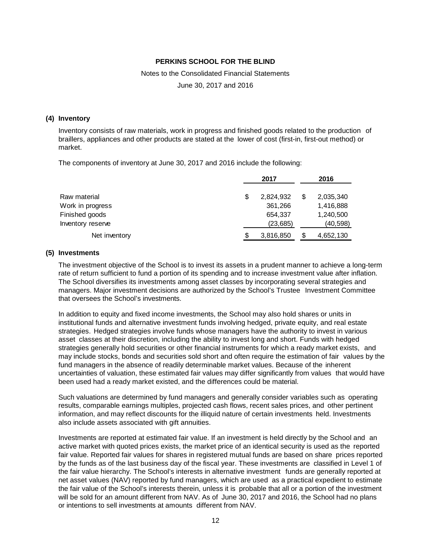Notes to the Consolidated Financial Statements

June 30, 2017 and 2016

#### **(4) Inventory**

Inventory consists of raw materials, work in progress and finished goods related to the production of braillers, appliances and other products are stated at the lower of cost (first-in, first-out method) or market.

The components of inventory at June 30, 2017 and 2016 include the following:

|                   | 2017      |    | 2016      |
|-------------------|-----------|----|-----------|
| Raw material      | 2,824,932 | \$ | 2,035,340 |
| Work in progress  | 361,266   |    | 1,416,888 |
| Finished goods    | 654.337   |    | 1,240,500 |
| Inventory reserve | (23, 685) |    | (40, 598) |
| Net inventory     | 3,816,850 | S  | 4,652,130 |

#### **(5) Investments**

The investment objective of the School is to invest its assets in a prudent manner to achieve a long-term rate of return sufficient to fund a portion of its spending and to increase investment value after inflation. The School diversifies its investments among asset classes by incorporating several strategies and managers. Major investment decisions are authorized by the School's Trustee Investment Committee that oversees the School's investments.

In addition to equity and fixed income investments, the School may also hold shares or units in institutional funds and alternative investment funds involving hedged, private equity, and real estate strategies. Hedged strategies involve funds whose managers have the authority to invest in various asset classes at their discretion, including the ability to invest long and short. Funds with hedged strategies generally hold securities or other financial instruments for which a ready market exists, and may include stocks, bonds and securities sold short and often require the estimation of fair values by the fund managers in the absence of readily determinable market values. Because of the inherent uncertainties of valuation, these estimated fair values may differ significantly from values that would have been used had a ready market existed, and the differences could be material.

Such valuations are determined by fund managers and generally consider variables such as operating results, comparable earnings multiples, projected cash flows, recent sales prices, and other pertinent information, and may reflect discounts for the illiquid nature of certain investments held. Investments also include assets associated with gift annuities.

Investments are reported at estimated fair value. If an investment is held directly by the School and an active market with quoted prices exists, the market price of an identical security is used as the reported fair value. Reported fair values for shares in registered mutual funds are based on share prices reported by the funds as of the last business day of the fiscal year. These investments are classified in Level 1 of the fair value hierarchy. The School's interests in alternative investment funds are generally reported at net asset values (NAV) reported by fund managers, which are used as a practical expedient to estimate the fair value of the School's interests therein, unless it is probable that all or a portion of the investment will be sold for an amount different from NAV. As of June 30, 2017 and 2016, the School had no plans or intentions to sell investments at amounts different from NAV.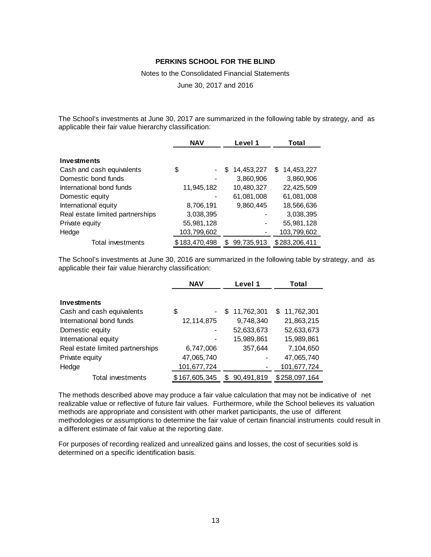Notes to the Consolidated Financial Statements

June 30, 2017 and 2016

The School's investments at June 30, 2017 are summarized in the following table by strategy, and as applicable their fair value hierarchy classification:

|                                  | <b>NAV</b>    | Level 1         | Total             |  |  |
|----------------------------------|---------------|-----------------|-------------------|--|--|
| Investments                      |               |                 |                   |  |  |
| Cash and cash equivalents        | \$            | 14,453,227<br>S | 14,453,227<br>\$. |  |  |
| Domestic bond funds              |               | 3,860,906       | 3,860,906         |  |  |
| International bond funds         | 11,945,182    | 10,480,327      | 22,425,509        |  |  |
| Domestic equity                  |               | 61,081,008      | 61,081,008        |  |  |
| International equity             | 8,706,191     | 9,860,445       | 18,566,636        |  |  |
| Real estate limited partnerships | 3,038,395     |                 | 3,038,395         |  |  |
| Private equity                   | 55,981,128    |                 | 55,981,128        |  |  |
| Hedge                            | 103,799,602   |                 | 103,799,602       |  |  |
| Total investments                | \$183,470,498 | 99,735,913<br>S | \$283,206,411     |  |  |

The School's investments at June 30, 2016 are summarized in the following table by strategy, and as applicable their fair value hierarchy classification:

|                                  | <b>NAV</b>    | Level 1           | Total         |  |  |
|----------------------------------|---------------|-------------------|---------------|--|--|
| Investments                      |               |                   |               |  |  |
| Cash and cash equivalents        | \$<br>-       | 11,762,301<br>\$. | \$11,762,301  |  |  |
| International bond funds         | 12,114,875    | 9,748,340         | 21,863,215    |  |  |
| Domestic equity                  | ۰             | 52,633,673        | 52,633,673    |  |  |
| International equity             | -             | 15,989,861        | 15,989,861    |  |  |
| Real estate limited partnerships | 6,747,006     | 357,644           | 7,104,650     |  |  |
| Private equity                   | 47,065,740    |                   | 47,065,740    |  |  |
| Hedge                            | 101,677,724   |                   | 101,677,724   |  |  |
| Total investments                | \$167,605,345 | 90.491.819        | \$258,097,164 |  |  |

The methods described above may produce a fair value calculation that may not be indicative of net realizable value or reflective of future fair values. Furthermore, while the School believes its valuation methods are appropriate and consistent with other market participants, the use of different methodologies or assumptions to determine the fair value of certain financial instruments could result in a different estimate of fair value at the reporting date.

For purposes of recording realized and unrealized gains and losses, the cost of securities sold is determined on a specific identification basis.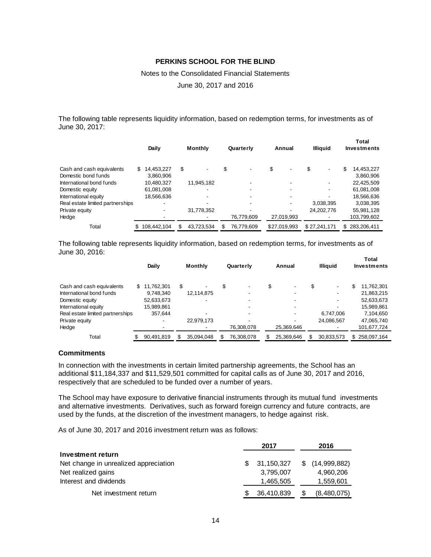Notes to the Consolidated Financial Statements

June 30, 2017 and 2016

The following table represents liquidity information, based on redemption terms, for investments as of June 30, 2017:

|                                  |     | Daily       | <b>Monthly</b> | Quarterly  | Annual                         | <b>Illiauid</b>          | <b>Total</b><br><b>Investments</b> |
|----------------------------------|-----|-------------|----------------|------------|--------------------------------|--------------------------|------------------------------------|
| Cash and cash equivalents        | \$. | 14.453.227  | \$             | \$         | \$<br>$\overline{\phantom{0}}$ | \$<br>-                  | \$<br>14,453,227                   |
| Domestic bond funds              |     | 3.860.906   |                |            |                                |                          | 3,860,906                          |
| International bond funds         |     | 10,480,327  | 11,945,182     |            |                                | $\overline{\phantom{0}}$ | 22,425,509                         |
| Domestic equity                  |     | 61,081,008  | ۰              |            |                                | $\overline{\phantom{0}}$ | 61,081,008                         |
| International equity             |     | 18,566,636  |                |            |                                |                          | 18,566,636                         |
| Real estate limited partnerships |     | -           |                |            |                                | 3.038.395                | 3,038,395                          |
| Private equity                   |     |             | 31,778,352     |            |                                | 24,202,776               | 55,981,128                         |
| Hedge                            |     |             |                | 76,779,609 | 27,019,993                     |                          | 103,799,602                        |
| Total                            |     | 108.442.104 | 43.723.534     | 76,779,609 | \$27.019.993                   | \$27.241.171             | \$283,206,411                      |

The following table represents liquidity information, based on redemption terms, for investments as of June 30, 2016: **Total**

|                                  |     | Daily      |     | <b>Monthly</b>           | Quarterly                |    | Annual     |   | Illiauid   | l otal<br>Investments |               |
|----------------------------------|-----|------------|-----|--------------------------|--------------------------|----|------------|---|------------|-----------------------|---------------|
| Cash and cash equivalents        | \$. | 11.762.301 | \$. |                          | $\overline{\phantom{a}}$ | S  | ۰          | S | -          | \$                    | 11,762,301    |
| International bond funds         |     | 9.748.340  |     | 12,114,875               | -                        |    | -          |   |            |                       | 21,863,215    |
| Domestic equity                  |     | 52,633,673 |     |                          |                          |    |            |   |            |                       | 52,633,673    |
| International equity             |     | 15,989,861 |     |                          |                          |    |            |   |            |                       | 15,989,861    |
| Real estate limited partnerships |     | 357.644    |     | $\overline{\phantom{a}}$ |                          |    | ۰          |   | 6.747.006  |                       | 7.104.650     |
| Private equity                   |     |            |     | 22,979,173               |                          |    |            |   | 24,086,567 |                       | 47,065,740    |
| Hedge                            |     |            |     |                          | 76,308,078               |    | 25,369,646 |   |            |                       | 101,677,724   |
| Total                            | \$  | 90,491,819 |     | 35.094.048               | 76.308.078               | \$ | 25.369.646 |   | 30,833,573 |                       | \$258,097,164 |

#### **Commitments**

In connection with the investments in certain limited partnership agreements, the School has an additional \$11,184,337 and \$11,529,501 committed for capital calls as of June 30, 2017 and 2016, respectively that are scheduled to be funded over a number of years.

The School may have exposure to derivative financial instruments through its mutual fund investments and alternative investments. Derivatives, such as forward foreign currency and future contracts, are used by the funds, at the discretion of the investment managers, to hedge against risk.

As of June 30, 2017 and 2016 investment return was as follows:

|                                       | 2017             |   | 2016         |
|---------------------------------------|------------------|---|--------------|
| Investment return                     |                  |   |              |
| Net change in unrealized appreciation | \$<br>31,150,327 | S | (14,999,882) |
| Net realized gains                    | 3,795,007        |   | 4,960,206    |
| Interest and dividends                | 1,465,505        |   | 1,559,601    |
| Net investment return                 | 36,410,839       |   | (8,480,075)  |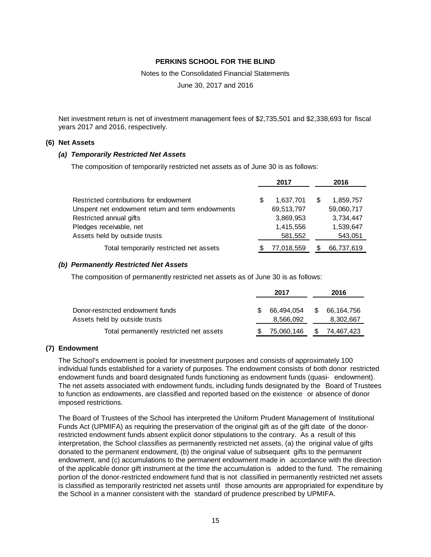Notes to the Consolidated Financial Statements

June 30, 2017 and 2016

Net investment return is net of investment management fees of \$2,735,501 and \$2,338,693 for fiscal years 2017 and 2016, respectively.

#### **(6) Net Assets**

#### *(a) Temporarily Restricted Net Assets*

The composition of temporarily restricted net assets as of June 30 is as follows:

|                                                  |   | 2017       | 2016       |
|--------------------------------------------------|---|------------|------------|
| Restricted contributions for endowment           | S | 1,637,701  | 1,859,757  |
| Unspent net endowment return and term endowments |   | 69,513,797 | 59,060,717 |
| Restricted annual gifts                          |   | 3,869,953  | 3,734,447  |
| Pledges receivable, net                          |   | 1,415,556  | 1,539,647  |
| Assets held by outside trusts                    |   | 581,552    | 543,051    |
| Total temporarily restricted net assets          |   | 77,018,559 | 66,737,619 |

#### *(b) Permanently Restricted Net Assets*

The composition of permanently restricted net assets as of June 30 is as follows:

|                                         |    | 2017       |   | 2016       |
|-----------------------------------------|----|------------|---|------------|
| Donor-restricted endowment funds        | S. | 66.494.054 | S | 66.164.756 |
| Assets held by outside trusts           |    | 8,566,092  |   | 8,302,667  |
| Total permanently restricted net assets |    | 75,060,146 |   | 74,467,423 |

#### **(7) Endowment**

The School's endowment is pooled for investment purposes and consists of approximately 100 individual funds established for a variety of purposes. The endowment consists of both donor restricted endowment funds and board designated funds functioning as endowment funds (quasi- endowment). The net assets associated with endowment funds, including funds designated by the Board of Trustees to function as endowments, are classified and reported based on the existence or absence of donor imposed restrictions.

The Board of Trustees of the School has interpreted the Uniform Prudent Management of Institutional Funds Act (UPMIFA) as requiring the preservation of the original gift as of the gift date of the donorrestricted endowment funds absent explicit donor stipulations to the contrary. As a result of this interpretation, the School classifies as permanently restricted net assets, (a) the original value of gifts donated to the permanent endowment, (b) the original value of subsequent gifts to the permanent endowment, and (c) accumulations to the permanent endowment made in accordance with the direction of the applicable donor gift instrument at the time the accumulation is added to the fund. The remaining portion of the donor-restricted endowment fund that is not classified in permanently restricted net assets is classified as temporarily restricted net assets until those amounts are appropriated for expenditure by the School in a manner consistent with the standard of prudence prescribed by UPMIFA.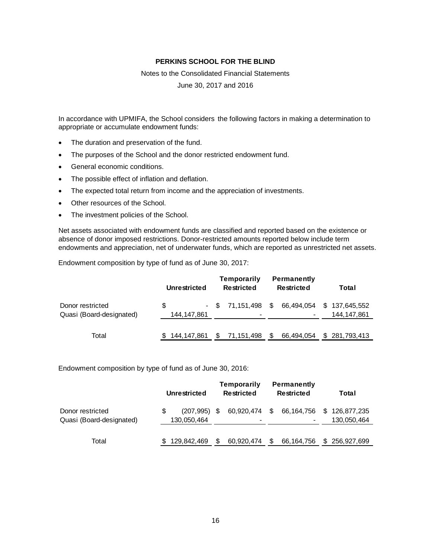Notes to the Consolidated Financial Statements

June 30, 2017 and 2016

In accordance with UPMIFA, the School considers the following factors in making a determination to appropriate or accumulate endowment funds:

- The duration and preservation of the fund.
- The purposes of the School and the donor restricted endowment fund.
- General economic conditions.
- The possible effect of inflation and deflation.
- The expected total return from income and the appreciation of investments.
- Other resources of the School.
- The investment policies of the School.

Net assets associated with endowment funds are classified and reported based on the existence or absence of donor imposed restrictions. Donor-restricted amounts reported below include term endowments and appreciation, net of underwater funds, which are reported as unrestricted net assets.

Endowment composition by type of fund as of June 30, 2017:

|                                              | Unrestricted     | Temporarily<br><b>Restricted</b>            | <b>Permanently</b><br><b>Restricted</b> | Total                        |
|----------------------------------------------|------------------|---------------------------------------------|-----------------------------------------|------------------------------|
| Donor restricted<br>Quasi (Board-designated) | S<br>144,147,861 | - \$ 71,151,498<br>$\overline{\phantom{a}}$ | 66,494,054<br>$\mathbb{S}$              | \$137,645,552<br>144,147,861 |
| Total                                        | 144,147,861      | S.<br>71,151,498                            | 66,494,054<br>S                         | \$281,793,413                |

Endowment composition by type of fund as of June 30, 2016:

|                                              |   | Unrestricted                  | Temporarily<br><b>Restricted</b>          | <b>Permanently</b><br><b>Restricted</b> | Total                        |
|----------------------------------------------|---|-------------------------------|-------------------------------------------|-----------------------------------------|------------------------------|
| Donor restricted<br>Quasi (Board-designated) | S | $(207.995)$ \$<br>130,050,464 | 60,920,474 \$<br>$\overline{\phantom{0}}$ | 66,164,756                              | \$126.877.235<br>130,050,464 |
| Total                                        |   | 129,842,469                   | 60.920.474                                | 66,164,756                              | \$256,927,699                |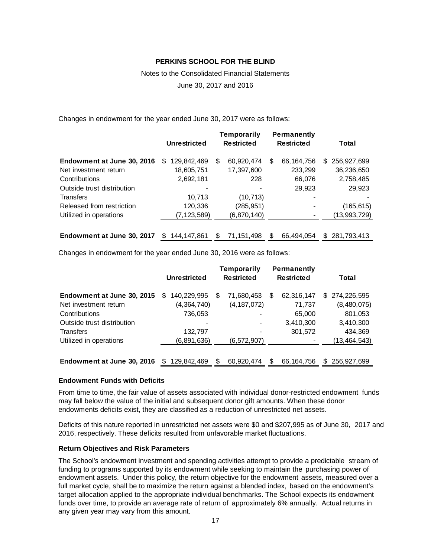# Notes to the Consolidated Financial Statements June 30, 2017 and 2016

Changes in endowment for the year ended June 30, 2017 were as follows:

|                            | <b>Unrestricted</b> |   | <b>Temporarily</b><br><b>Restricted</b> |   | <b>Permanently</b><br><b>Restricted</b> |     | Total          |
|----------------------------|---------------------|---|-----------------------------------------|---|-----------------------------------------|-----|----------------|
| Endowment at June 30, 2016 | 129,842,469<br>\$.  | S | 60,920,474                              | S | 66,164,756                              | \$. | 256,927,699    |
| Net investment return      | 18,605,751          |   | 17,397,600                              |   | 233,299                                 |     | 36,236,650     |
| Contributions              | 2,692,181           |   | 228                                     |   | 66,076                                  |     | 2,758,485      |
| Outside trust distribution |                     |   |                                         |   | 29,923                                  |     | 29,923         |
| <b>Transfers</b>           | 10,713              |   | (10, 713)                               |   |                                         |     |                |
| Released from restriction  | 120,336             |   | (285, 951)                              |   |                                         |     | (165, 615)     |
| Utilized in operations     | (7, 123, 589)       |   | (6,870,140)                             |   |                                         |     | (13, 993, 729) |

# **Endowment at June 30, 2017** \$ 144,147,861 \$ 71,151,498 \$ 66,494,054 \$ 281,793,413

Changes in endowment for the year ended June 30, 2016 were as follows:

|                            |     | <b>Unrestricted</b> |   | <b>Temporarily</b><br><b>Restricted</b> |   | <b>Permanently</b><br><b>Restricted</b> |     | Total          |
|----------------------------|-----|---------------------|---|-----------------------------------------|---|-----------------------------------------|-----|----------------|
| Endowment at June 30, 2015 | S   | 140,229,995         | S | 71,680,453                              | S | 62,316,147                              | \$. | 274,226,595    |
| Net investment return      |     | (4,364,740)         |   | (4, 187, 072)                           |   | 71,737                                  |     | (8,480,075)    |
| Contributions              |     | 736,053             |   |                                         |   | 65,000                                  |     | 801,053        |
| Outside trust distribution |     |                     |   |                                         |   | 3,410,300                               |     | 3,410,300      |
| <b>Transfers</b>           |     | 132,797             |   |                                         |   | 301,572                                 |     | 434,369        |
| Utilized in operations     |     | (6,891,636)         |   | (6, 572, 907)                           |   |                                         |     | (13, 464, 543) |
|                            |     |                     |   |                                         |   |                                         |     |                |
| Endowment at June 30, 2016 | \$. | 129.842.469         | S | 60.920.474                              | S | 66, 164, 756                            | S   | 256.927.699    |

#### **Endowment Funds with Deficits**

From time to time, the fair value of assets associated with individual donor-restricted endowment funds may fall below the value of the initial and subsequent donor gift amounts. When these donor endowments deficits exist, they are classified as a reduction of unrestricted net assets.

Deficits of this nature reported in unrestricted net assets were \$0 and \$207,995 as of June 30, 2017 and 2016, respectively. These deficits resulted from unfavorable market fluctuations.

#### **Return Objectives and Risk Parameters**

The School's endowment investment and spending activities attempt to provide a predictable stream of funding to programs supported by its endowment while seeking to maintain the purchasing power of endowment assets. Under this policy, the return objective for the endowment assets, measured over a full market cycle, shall be to maximize the return against a blended index, based on the endowment's target allocation applied to the appropriate individual benchmarks. The School expects its endowment funds over time, to provide an average rate of return of approximately 6% annually. Actual returns in any given year may vary from this amount.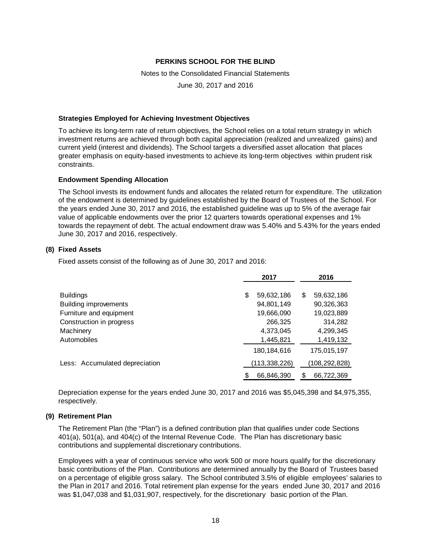Notes to the Consolidated Financial Statements

June 30, 2017 and 2016

#### **Strategies Employed for Achieving Investment Objectives**

To achieve its long-term rate of return objectives, the School relies on a total return strategy in which investment returns are achieved through both capital appreciation (realized and unrealized gains) and current yield (interest and dividends). The School targets a diversified asset allocation that places greater emphasis on equity-based investments to achieve its long-term objectives within prudent risk constraints.

# **Endowment Spending Allocation**

The School invests its endowment funds and allocates the related return for expenditure. The utilization of the endowment is determined by guidelines established by the Board of Trustees of the School. For the years ended June 30, 2017 and 2016, the established guideline was up to 5% of the average fair value of applicable endowments over the prior 12 quarters towards operational expenses and 1% towards the repayment of debt. The actual endowment draw was 5.40% and 5.43% for the years ended June 30, 2017 and 2016, respectively.

# **(8) Fixed Assets**

Fixed assets consist of the following as of June 30, 2017 and 2016:

|                                | 2017             | 2016             |  |  |
|--------------------------------|------------------|------------------|--|--|
| <b>Buildings</b>               | \$<br>59,632,186 | \$<br>59,632,186 |  |  |
| <b>Building improvements</b>   | 94,801,149       | 90,326,363       |  |  |
| Furniture and equipment        | 19,666,090       | 19,023,889       |  |  |
| Construction in progress       | 266,325          | 314,282          |  |  |
| Machinery                      | 4,373,045        | 4,299,345        |  |  |
| <b>Automobiles</b>             | 1,445,821        | 1,419,132        |  |  |
|                                | 180, 184, 616    | 175,015,197      |  |  |
| Less: Accumulated depreciation | (113, 338, 226)  | (108,292,828)    |  |  |
|                                | 66,846,390       | \$<br>66,722,369 |  |  |

Depreciation expense for the years ended June 30, 2017 and 2016 was \$5,045,398 and \$4,975,355, respectively.

#### **(9) Retirement Plan**

The Retirement Plan (the "Plan") is a defined contribution plan that qualifies under code Sections 401(a), 501(a), and 404(c) of the Internal Revenue Code. The Plan has discretionary basic contributions and supplemental discretionary contributions.

Employees with a year of continuous service who work 500 or more hours qualify for the discretionary basic contributions of the Plan. Contributions are determined annually by the Board of Trustees based on a percentage of eligible gross salary. The School contributed 3.5% of eligible employees' salaries to the Plan in 2017 and 2016. Total retirement plan expense for the years ended June 30, 2017 and 2016 was \$1,047,038 and \$1,031,907, respectively, for the discretionary basic portion of the Plan.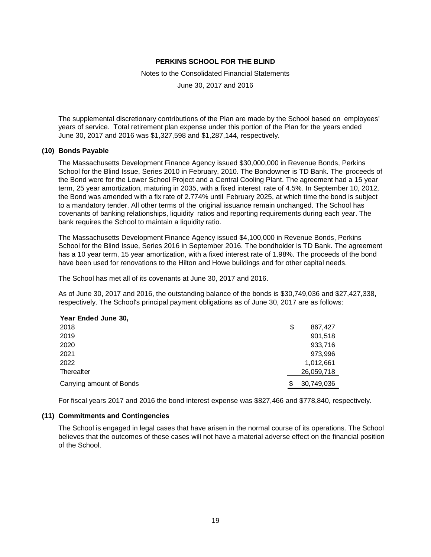Notes to the Consolidated Financial Statements

June 30, 2017 and 2016

The supplemental discretionary contributions of the Plan are made by the School based on employees' years of service. Total retirement plan expense under this portion of the Plan for the years ended June 30, 2017 and 2016 was \$1,327,598 and \$1,287,144, respectively.

#### **(10) Bonds Payable**

The Massachusetts Development Finance Agency issued \$30,000,000 in Revenue Bonds, Perkins School for the Blind Issue, Series 2010 in February, 2010. The Bondowner is TD Bank. The proceeds of the Bond were for the Lower School Project and a Central Cooling Plant. The agreement had a 15 year term, 25 year amortization, maturing in 2035, with a fixed interest rate of 4.5%. In September 10, 2012, the Bond was amended with a fix rate of 2.774% until February 2025, at which time the bond is subject to a mandatory tender. All other terms of the original issuance remain unchanged. The School has covenants of banking relationships, liquidity ratios and reporting requirements during each year. The bank requires the School to maintain a liquidity ratio.

The Massachusetts Development Finance Agency issued \$4,100,000 in Revenue Bonds, Perkins School for the Blind Issue, Series 2016 in September 2016. The bondholder is TD Bank. The agreement has a 10 year term, 15 year amortization, with a fixed interest rate of 1.98%. The proceeds of the bond have been used for renovations to the Hilton and Howe buildings and for other capital needs.

The School has met all of its covenants at June 30, 2017 and 2016.

As of June 30, 2017 and 2016, the outstanding balance of the bonds is \$30,749,036 and \$27,427,338, respectively. The School's principal payment obligations as of June 30, 2017 are as follows:

#### **Year Ended June 30,**

| 2018                     | \$<br>867,427 |
|--------------------------|---------------|
| 2019                     | 901,518       |
| 2020                     | 933,716       |
| 2021                     | 973,996       |
| 2022                     | 1,012,661     |
| Thereafter               | 26,059,718    |
| Carrying amount of Bonds | 30,749,036    |

For fiscal years 2017 and 2016 the bond interest expense was \$827,466 and \$778,840, respectively.

#### **(11) Commitments and Contingencies**

The School is engaged in legal cases that have arisen in the normal course of its operations. The School believes that the outcomes of these cases will not have a material adverse effect on the financial position of the School.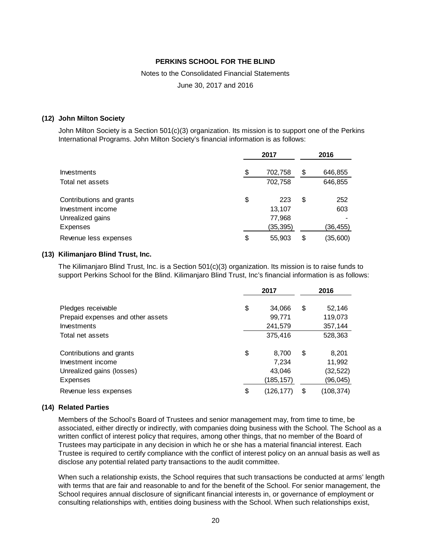Notes to the Consolidated Financial Statements

June 30, 2017 and 2016

#### **(12) John Milton Society**

John Milton Society is a Section 501(c)(3) organization. Its mission is to support one of the Perkins International Programs. John Milton Society's financial information is as follows:

|                          | 2017 |           | 2016 |          |
|--------------------------|------|-----------|------|----------|
| Investments              | \$   | 702,758   | \$   | 646,855  |
| Total net assets         |      | 702,758   |      | 646,855  |
| Contributions and grants | \$   | 223       | \$   | 252      |
| Investment income        |      | 13,107    |      | 603      |
| Unrealized gains         |      | 77,968    |      |          |
| Expenses                 |      | (35, 395) |      | (36,455) |
| Revenue less expenses    | \$   | 55,903    | \$   | (35,600) |

#### **(13) Kilimanjaro Blind Trust, Inc.**

The Kilimanjaro Blind Trust, Inc. is a Section 501(c)(3) organization. Its mission is to raise funds to support Perkins School for the Blind. Kilimanjaro Blind Trust, Inc's financial information is as follows:

|                                   | 2017 |           | 2016 |            |
|-----------------------------------|------|-----------|------|------------|
| Pledges receivable                | \$   | 34,066    | \$   | 52,146     |
| Prepaid expenses and other assets |      | 99,771    |      | 119,073    |
| Investments                       |      | 241,579   |      | 357,144    |
| Total net assets                  |      | 375,416   |      | 528,363    |
| Contributions and grants          | \$   | 8,700     | \$   | 8,201      |
| Investment income                 |      | 7,234     |      | 11,992     |
| Unrealized gains (losses)         |      | 43,046    |      | (32, 522)  |
| Expenses                          |      | (185,157) |      | (96,045)   |
| Revenue less expenses             | \$   | (126,177) | \$   | (108, 374) |

#### **(14) Related Parties**

Members of the School's Board of Trustees and senior management may, from time to time, be associated, either directly or indirectly, with companies doing business with the School. The School as a written conflict of interest policy that requires, among other things, that no member of the Board of Trustees may participate in any decision in which he or she has a material financial interest. Each Trustee is required to certify compliance with the conflict of interest policy on an annual basis as well as disclose any potential related party transactions to the audit committee.

When such a relationship exists, the School requires that such transactions be conducted at arms' length with terms that are fair and reasonable to and for the benefit of the School. For senior management, the School requires annual disclosure of significant financial interests in, or governance of employment or consulting relationships with, entities doing business with the School. When such relationships exist,